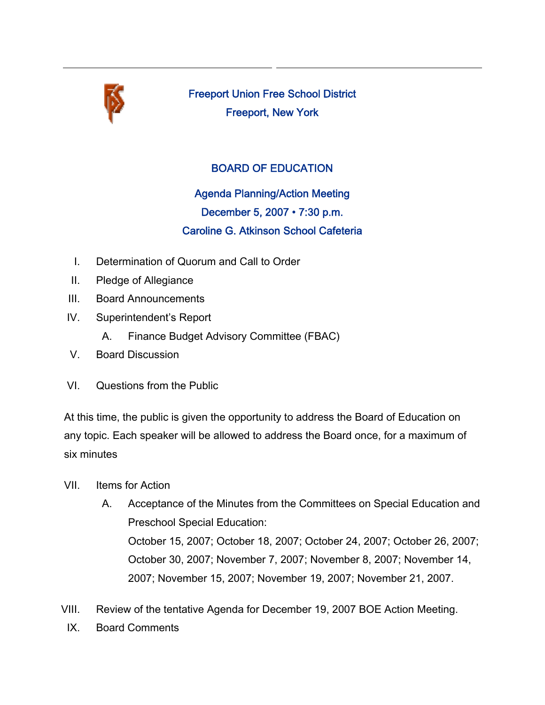

Freeport Union Free School District Freeport, New York

## BOARD OF EDUCATION

Agenda Planning/Action Meeting December 5, 2007 • 7:30 p.m. Caroline G. Atkinson School Cafeteria

- I. Determination of Quorum and Call to Order
- II. Pledge of Allegiance
- III. Board Announcements
- IV. Superintendent's Report
	- A. Finance Budget Advisory Committee (FBAC)
- V. Board Discussion
- VI. Questions from the Public

At this time, the public is given the opportunity to address the Board of Education on any topic. Each speaker will be allowed to address the Board once, for a maximum of six minutes

- VII. Items for Action
	- A. Acceptance of the Minutes from the Committees on Special Education and Preschool Special Education:

October 15, 2007; October 18, 2007; October 24, 2007; October 26, 2007; October 30, 2007; November 7, 2007; November 8, 2007; November 14, 2007; November 15, 2007; November 19, 2007; November 21, 2007.

- VIII. Review of the tentative Agenda for December 19, 2007 BOE Action Meeting.
	- IX. Board Comments